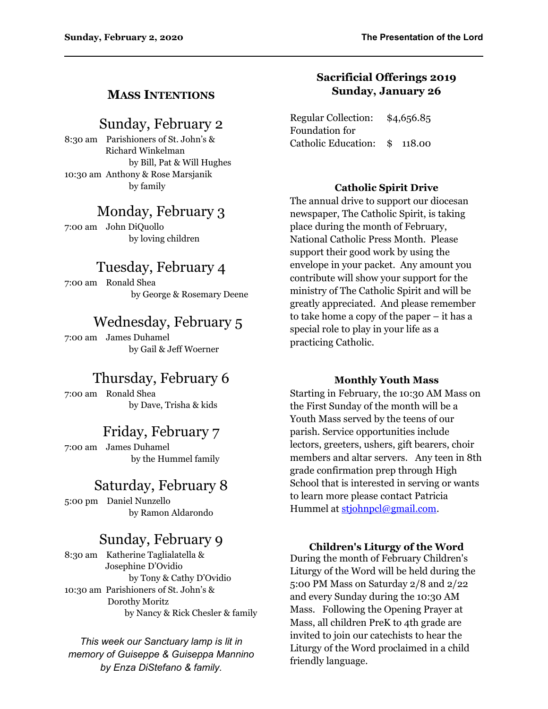### **MASS INTENTIONS**

## Sunday, February 2

8:30 am Parishioners of St. John's & Richard Winkelman by Bill, Pat & Will Hughes 10:30 am Anthony & Rose Marsjanik by family

# Monday, February 3

7:00 am John DiQuollo by loving children

# Tuesday, February 4

7:00 am Ronald Shea by George & Rosemary Deene

### Wednesday, February 5

7:00 am James Duhamel by Gail & Jeff Woerner

# Thursday, February 6

7:00 am Ronald Shea by Dave, Trisha & kids

# Friday, February 7

7:00 am James Duhamel by the Hummel family

# Saturday, February 8

5:00 pm Daniel Nunzello by Ramon Aldarondo

# Sunday, February 9

8:30 am Katherine Taglialatella & Josephine D'Ovidio by Tony & Cathy D'Ovidio 10:30 am Parishioners of St. John's & Dorothy Moritz by Nancy & Rick Chesler & family

*This week our Sanctuary lamp is lit in memory of Guiseppe & Guiseppa Mannino by Enza DiStefano & family.*

### **Sacrificial Offerings 2019 Sunday, January 26**

Regular Collection: \$4,656.85 Foundation for Catholic Education: \$ 118.00

#### **Catholic Spirit Drive**

The annual drive to support our diocesan newspaper, The Catholic Spirit, is taking place during the month of February, National Catholic Press Month. Please support their good work by using the envelope in your packet. Any amount you contribute will show your support for the ministry of The Catholic Spirit and will be greatly appreciated. And please remember to take home a copy of the paper – it has a special role to play in your life as a practicing Catholic.

#### **Monthly Youth Mass**

Starting in February, the 10:30 AM Mass on the First Sunday of the month will be a Youth Mass served by the teens of our parish. Service opportunities include lectors, greeters, ushers, gift bearers, choir members and altar servers. Any teen in 8th grade confirmation prep through High School that is interested in serving or wants to learn more please contact Patricia Hummel at [stjohnpcl@gmail.com](mailto:stjohnpcl@gmail.com).

#### **Children's Liturgy of the Word**

During the month of February Children's Liturgy of the Word will be held during the 5:00 PM Mass on Saturday 2/8 and 2/22 and every Sunday during the 10:30 AM Mass. Following the Opening Prayer at Mass, all children PreK to 4th grade are invited to join our catechists to hear the Liturgy of the Word proclaimed in a child friendly language.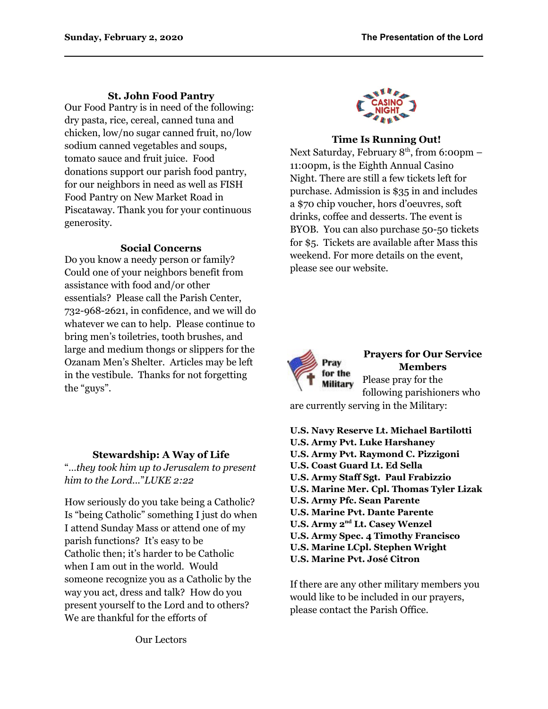#### **St. John Food Pantry**

Our Food Pantry is in need of the following: dry pasta, rice, cereal, canned tuna and chicken, low/no sugar canned fruit, no/low sodium canned vegetables and soups, tomato sauce and fruit juice. Food donations support our parish food pantry, for our neighbors in need as well as FISH Food Pantry on New Market Road in Piscataway. Thank you for your continuous generosity.

#### **Social Concerns**

Do you know a needy person or family? Could one of your neighbors benefit from assistance with food and/or other essentials? Please call the Parish Center, 732-968-2621, in confidence, and we will do whatever we can to help. Please continue to bring men's toiletries, tooth brushes, and large and medium thongs or slippers for the Ozanam Men's Shelter. Articles may be left in the vestibule. Thanks for not forgetting the "guys".

#### **Stewardship: A Way of Life**

"*…they took him up to Jerusalem to present him to the Lord...*"*LUKE 2:22*

How seriously do you take being a Catholic? Is "being Catholic" something I just do when I attend Sunday Mass or attend one of my parish functions? It's easy to be Catholic then; it's harder to be Catholic when I am out in the world. Would someone recognize you as a Catholic by the way you act, dress and talk? How do you present yourself to the Lord and to others? We are thankful for the efforts of

#### **Time Is Running Out!**

Next Saturday, February  $8<sup>th</sup>$ , from 6:00pm – 11:00pm, is the Eighth Annual Casino Night. There are still a few tickets left for purchase. Admission is \$35 in and includes a \$70 chip voucher, hors d'oeuvres, soft drinks, coffee and desserts. The event is BYOB. You can also purchase 50-50 tickets for \$5. Tickets are available after Mass this weekend. For more details on the event, please see our website.



**Prayers for Our Service Members** Please pray for the

following parishioners who are currently serving in the Military:

- **U.S. Navy Reserve Lt. Michael Bartilotti**
- **U.S. Army Pvt. Luke Harshaney**
- **U.S. Army Pvt. Raymond C. Pizzigoni**
- **U.S. Coast Guard Lt. Ed Sella**
- **U.S. Army Staff Sgt. Paul Frabizzio**
- **U.S. Marine Mer. Cpl. Thomas Tyler Lizak**
- **U.S. Army Pfc. Sean Parente**
- **U.S. Marine Pvt. Dante Parente**
- **U.S. Army 2nd Lt. Casey Wenzel**
- **U.S. Army Spec. 4 Timothy Francisco**
- **U.S. Marine LCpl. Stephen Wright**
- **U.S. Marine Pvt. José Citron**

If there are any other military members you would like to be included in our prayers, please contact the Parish Office.

Our Lectors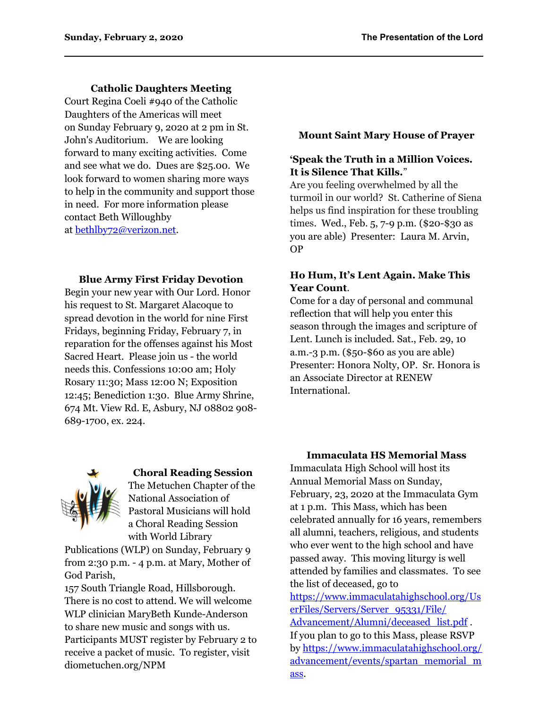**Catholic Daughters Meeting**

Court Regina Coeli #940 of the Catholic Daughters of the Americas will meet on Sunday February 9, 2020 at 2 pm in St. John's Auditorium. We are looking forward to many exciting activities. Come and see what we do. Dues are \$25.00. We look forward to women sharing more ways to help in the community and support those in need. For more information please contact Beth Willoughby at [bethlby72@verizon.net.](mailto:bethlby72@verizon.net)

#### **Blue Army First Friday Devotion**

Begin your new year with Our Lord. Honor his request to St. Margaret Alacoque to spread devotion in the world for nine First Fridays, beginning Friday, February 7, in reparation for the offenses against his Most Sacred Heart. Please join us - the world needs this. Confessions 10:00 am; Holy Rosary 11:30; Mass 12:00 N; Exposition 12:45; Benediction 1:30. Blue Army Shrine, 674 Mt. View Rd. E, Asbury, NJ 08802 908- 689-1700, ex. 224.



# **Choral Reading Session**

The Metuchen Chapter of the National Association of Pastoral Musicians will hold a Choral Reading Session with World Library

Publications (WLP) on Sunday, February 9 from 2:30 p.m. - 4 p.m. at Mary, Mother of God Parish,

157 South Triangle Road, Hillsborough. There is no cost to attend. We will welcome WLP clinician MaryBeth Kunde-Anderson to share new music and songs with us. Participants MUST register by February 2 to receive a packet of music. To register, visit diometuchen.org/NPM

### **Mount Saint Mary House of Prayer**

### **'Speak the Truth in a Million Voices. It is Silence That Kills.**"

Are you feeling overwhelmed by all the turmoil in our world? St. Catherine of Siena helps us find inspiration for these troubling times. Wed., Feb. 5, 7-9 p.m. (\$20-\$30 as you are able) Presenter: Laura M. Arvin, OP

### **Ho Hum, It's Lent Again. Make This Year Count**.

Come for a day of personal and communal reflection that will help you enter this season through the images and scripture of Lent. Lunch is included. Sat., Feb. 29, 10 a.m.-3 p.m. (\$50-\$60 as you are able) Presenter: Honora Nolty, OP. Sr. Honora is an Associate Director at RENEW International.

### **Immaculata HS Memorial Mass**

Immaculata High School will host its Annual Memorial Mass on Sunday, February, 23, 2020 at the Immaculata Gym at 1 p.m. This Mass, which has been celebrated annually for 16 years, remembers all alumni, teachers, religious, and students who ever went to the high school and have passed away. This moving liturgy is well attended by families and classmates. To see the list of deceased, go to [https://www.immaculatahighschool.org/Us](https://www.immaculatahighschool.org/UserFiles/Servers/Server_95331/File/Advancement/Alumni/deceased_list.pdf) [erFiles/Servers/Server\\_95331/File/](https://www.immaculatahighschool.org/UserFiles/Servers/Server_95331/File/Advancement/Alumni/deceased_list.pdf) [Advancement/Alumni/deceased\\_list.pdf](https://www.immaculatahighschool.org/UserFiles/Servers/Server_95331/File/Advancement/Alumni/deceased_list.pdf). If you plan to go to this Mass, please RSVP by [https://www.immaculatahighschool.org/](https://www.immaculatahighschool.org/advancement/events/spartan_memorial_mass) [advancement/events/spartan\\_memorial\\_m](https://www.immaculatahighschool.org/advancement/events/spartan_memorial_mass) [ass](https://www.immaculatahighschool.org/advancement/events/spartan_memorial_mass).